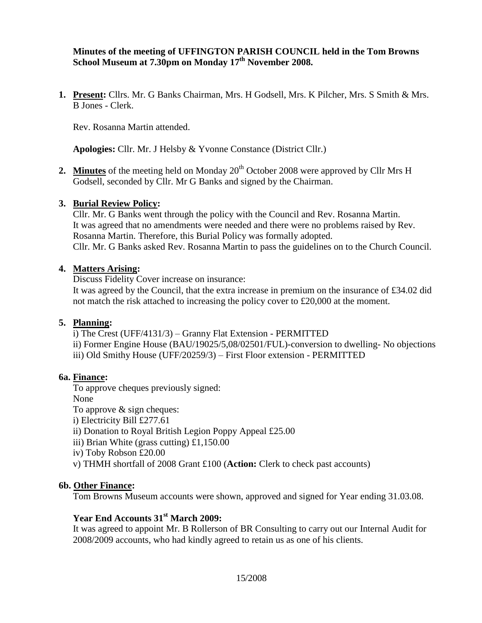## **Minutes of the meeting of UFFINGTON PARISH COUNCIL held in the Tom Browns School Museum at 7.30pm on Monday 17th November 2008.**

**1. Present:** Cllrs. Mr. G Banks Chairman, Mrs. H Godsell, Mrs. K Pilcher, Mrs. S Smith & Mrs. B Jones - Clerk.

Rev. Rosanna Martin attended.

**Apologies:** Cllr. Mr. J Helsby & Yvonne Constance (District Cllr.)

**2. Minutes** of the meeting held on Monday 20<sup>th</sup> October 2008 were approved by Cllr Mrs H Godsell, seconded by Cllr. Mr G Banks and signed by the Chairman.

### **3. Burial Review Policy:**

Cllr. Mr. G Banks went through the policy with the Council and Rev. Rosanna Martin. It was agreed that no amendments were needed and there were no problems raised by Rev. Rosanna Martin. Therefore, this Burial Policy was formally adopted. Cllr. Mr. G Banks asked Rev. Rosanna Martin to pass the guidelines on to the Church Council.

### **4. Matters Arising:**

Discuss Fidelity Cover increase on insurance:

It was agreed by the Council, that the extra increase in premium on the insurance of £34.02 did not match the risk attached to increasing the policy cover to £20,000 at the moment.

### **5. Planning:**

i) The Crest (UFF/4131/3) – Granny Flat Extension - PERMITTED

- ii) Former Engine House (BAU/19025/5,08/02501/FUL)-conversion to dwelling- No objections
- iii) Old Smithy House (UFF/20259/3) First Floor extension PERMITTED

#### **6a. Finance:**

To approve cheques previously signed:

None

To approve & sign cheques:

i) Electricity Bill £277.61

- ii) Donation to Royal British Legion Poppy Appeal £25.00
- iii) Brian White (grass cutting) £1,150.00
- iv) Toby Robson £20.00
- v) THMH shortfall of 2008 Grant £100 (**Action:** Clerk to check past accounts)

### **6b. Other Finance:**

Tom Browns Museum accounts were shown, approved and signed for Year ending 31.03.08.

# **Year End Accounts 31st March 2009:**

It was agreed to appoint Mr. B Rollerson of BR Consulting to carry out our Internal Audit for 2008/2009 accounts, who had kindly agreed to retain us as one of his clients.